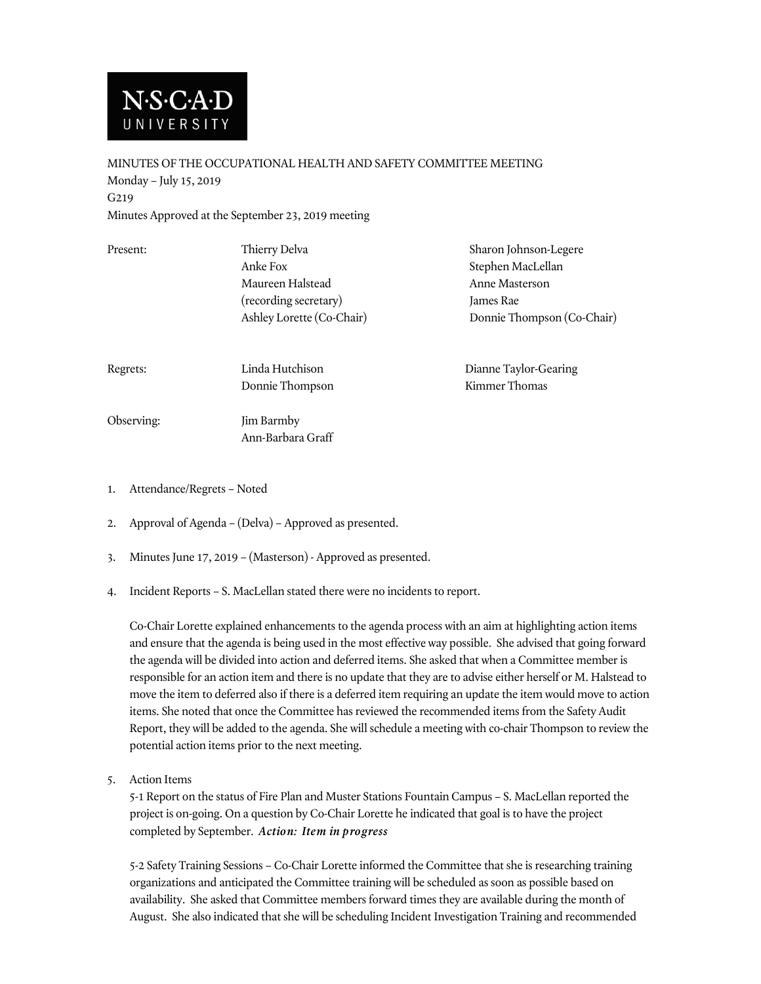

MINUTES OF THE OCCUPATIONAL HEALTH AND SAFETY COMMITTEE MEETING Monday – July 15, 2019 G219 Minutes Approved at the September 23, 2019 meeting

| Present:   | Thierry Delva<br>Anke Fox<br>Maureen Halstead<br>(recording secretary)<br>Ashley Lorette (Co-Chair) | Sharon Johnson-Legere<br>Stephen MacLellan<br>Anne Masterson<br>James Rae<br>Donnie Thompson (Co-Chair) |
|------------|-----------------------------------------------------------------------------------------------------|---------------------------------------------------------------------------------------------------------|
| Regrets:   | Linda Hutchison<br>Donnie Thompson                                                                  | Dianne Taylor-Gearing<br>Kimmer Thomas                                                                  |
| Observing: | Jim Barmby<br>Ann-Barbara Graff                                                                     |                                                                                                         |

- 1. Attendance/Regrets Noted
- 2. Approval of Agenda (Delva) Approved as presented.
- 3. Minutes June 17, 2019 (Masterson) Approved as presented.
- 4. Incident Reports S. MacLellan stated there were no incidents to report.

Co-Chair Lorette explained enhancements to the agenda process with an aim at highlighting action items and ensure that the agenda is being used in the most effective way possible. She advised that going forward the agenda will be divided into action and deferred items. She asked that when a Committee member is responsible for an action item and there is no update that they are to advise either herself or M. Halstead to move the item to deferred also if there is a deferred item requiring an update the item would move to action items. She noted that once the Committee has reviewed the recommended items from the Safety Audit Report, they will be added to the agenda. She will schedule a meeting with co-chair Thompson to review the potential action items prior to the next meeting.

5. Action Items

5-1 Report on the status of Fire Plan and Muster Stations Fountain Campus – S. MacLellan reported the project is on-going. On a question by Co-Chair Lorette he indicated that goal is to have the project completed by September. *Action: Item in progress*

5-2 Safety Training Sessions – Co-Chair Lorette informed the Committee that she is researching training organizations and anticipated the Committee training will be scheduled as soon as possible based on availability. She asked that Committee members forward times they are available during the month of August. She also indicated that she will be scheduling Incident Investigation Training and recommended